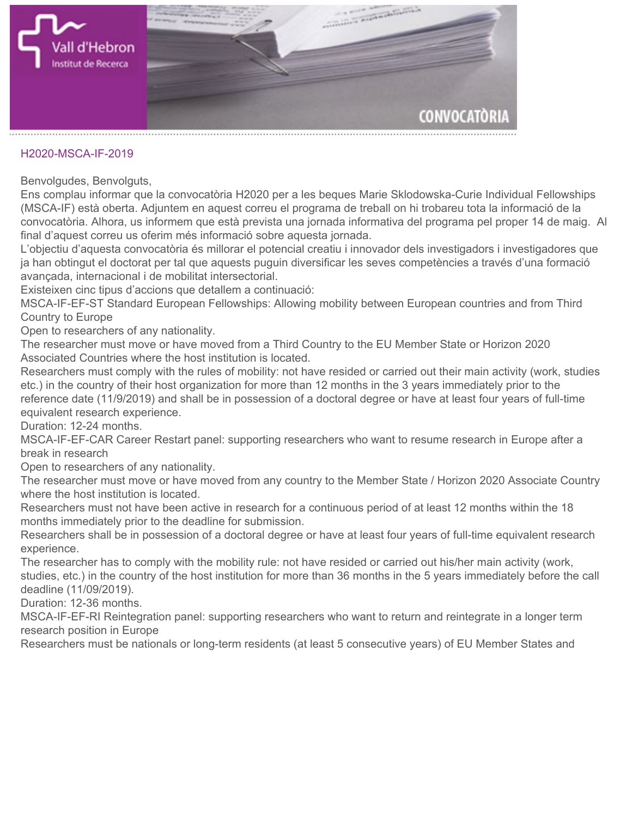

## **H2020-MSCA-IF-2019**

**Benvolgudes, Benvolguts,**

**Ens complau informar que la convocatòria H2020 per a les beques [Marie Sklodowska-Curie Individual Fellowships](https://ec.europa.eu/info/funding-tenders/opportunities/portal/screen/opportunities/topic-details/msca-if-2019) (MSCA-IF) està oberta. Adjuntem en aquest correu el programa de treball on hi trobareu tota la informació de la convocatòria. Alhora, us informem que està prevista una jornada informativa del programa pel proper 14 de maig. Al final d'aquest correu us oferim més informació sobre aquesta jornada.**

**L'objectiu d'aquesta convocatòria és millorar el potencial creatiu i innovador dels investigadors i investigadores que ja han obtingut el doctorat per tal que aquests puguin diversificar les seves competències a través d'una formació avançada, internacional i de mobilitat intersectorial.**

**Existeixen cinc tipus d'accions que detallem a continuació:**

**MSCA-IF-EF-ST Standard European Fellowships: Allowing mobility between European countries and from Third Country to Europe**

**Open to researchers of any nationality.**

**The researcher must move or have moved from a Third Country to the EU Member State or Horizon 2020 Associated Countries where the host institution is located.**

**Researchers must comply with the rules of mobility: not have resided or carried out their main activity (work, studies etc.) in the country of their host organization for more than 12 months in the 3 years immediately prior to the reference date (11/9/2019) and shall be in possession of a doctoral degree or have at least four years of full-time equivalent research experience.**

**Duration: 12-24 months.**

**MSCA-IF-EF-CAR Career Restart panel: supporting researchers who want to resume research in Europe after a break in research**

**Open to researchers of any nationality.**

**The researcher must move or have moved from any country to the Member State / Horizon 2020 Associate Country where the host institution is located.**

**Researchers must not have been active in research for a continuous period of at least 12 months within the 18 months immediately prior to the deadline for submission.**

**Researchers shall be in possession of a doctoral degree or have at least four years of full-time equivalent research experience.**

**The researcher has to comply with the mobility rule: not have resided or carried out his/her main activity (work, studies, etc.) in the country of the host institution for more than 36 months in the 5 years immediately before the call deadline (11/09/2019).**

**Duration: 12-36 months.**

**MSCA-IF-EF-RI Reintegration panel: supporting researchers who want to return and reintegrate in a longer term research position in Europe**

**Researchers must be nationals or long-term residents (at least 5 consecutive years) of EU Member States and**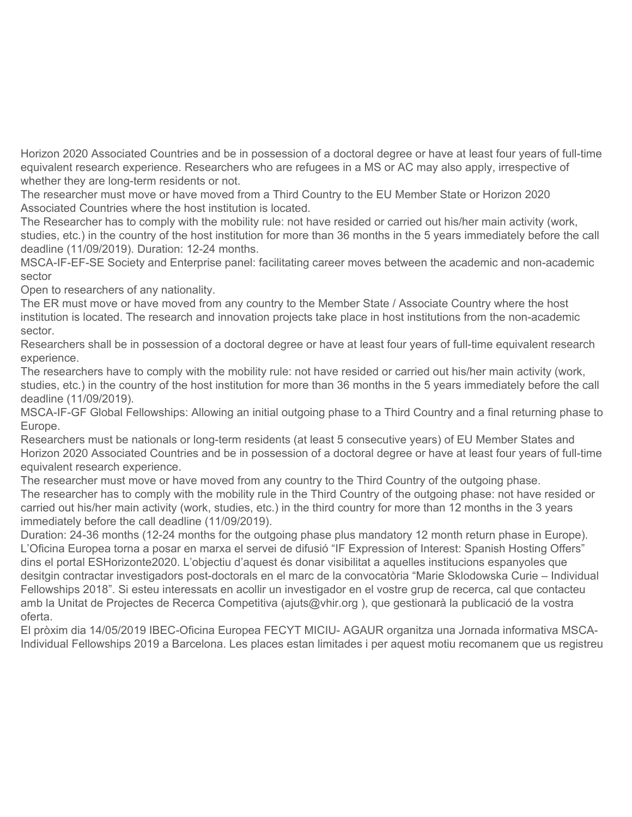**Horizon 2020 Associated Countries and be in possession of a doctoral degree or have at least four years of full-time equivalent research experience. Researchers who are refugees in a MS or AC may also apply, irrespective of whether they are long-term residents or not.**

**The researcher must move or have moved from a Third Country to the EU Member State or Horizon 2020 Associated Countries where the host institution is located.**

**The Researcher has to comply with the mobility rule: not have resided or carried out his/her main activity (work, studies, etc.) in the country of the host institution for more than 36 months in the 5 years immediately before the call deadline (11/09/2019). Duration: 12-24 months.**

**MSCA-IF-EF-SE Society and Enterprise panel: facilitating career moves between the academic and non-academic sector**

**Open to researchers of any nationality.**

**The ER must move or have moved from any country to the Member State / Associate Country where the host institution is located. The research and innovation projects take place in host institutions from the non-academic sector.**

**Researchers shall be in possession of a doctoral degree or have at least four years of full-time equivalent research experience.**

**The researchers have to comply with the mobility rule: not have resided or carried out his/her main activity (work, studies, etc.) in the country of the host institution for more than 36 months in the 5 years immediately before the call deadline (11/09/2019).**

**MSCA-IF-GF Global Fellowships: Allowing an initial outgoing phase to a Third Country and a final returning phase to Europe.**

**Researchers must be nationals or long-term residents (at least 5 consecutive years) of EU Member States and Horizon 2020 Associated Countries and be in possession of a doctoral degree or have at least four years of full-time equivalent research experience.**

**The researcher must move or have moved from any country to the Third Country of the outgoing phase. The researcher has to comply with the mobility rule in the Third Country of the outgoing phase: not have resided or carried out his/her main activity (work, studies, etc.) in the third country for more than 12 months in the 3 years immediately before the call deadline (11/09/2019).**

**Duration: 24-36 months (12-24 months for the outgoing phase plus mandatory 12 month return phase in Europe). L'Oficina Europea torna a posar en marxa el servei de difusió "[IF Expression of Interest: Spanish Hosting Offers"](https://eshorizonte2020.es/ciencia-excelente/acciones-marie-sklodowska-curie/spanish-hosting-offers-if-2019) dins el portal ESHorizonte2020. L'objectiu d'aquest és donar visibilitat a aquelles institucions espanyoles que desitgin contractar investigadors post-doctorals en el marc de la convocatòria "Marie Sklodowska Curie – Individual Fellowships 2018". Si esteu interessats en acollir un investigador en el vostre grup de recerca, cal que contacteu amb la Unitat de Projectes de Recerca Competitiva (ajuts@vhir.org ), que gestionarà la publicació de la vostra oferta.**

**El pròxim dia 14/05/2019 IBEC-Oficina Europea FECYT MICIU- AGAUR organitza una [Jornada informativa MSCA-](http://agaur.gencat.cat/ca/detalls/activitatagenda/Jornada-IF_14_05_19)[Individual Fellowships 2019](http://agaur.gencat.cat/ca/detalls/activitatagenda/Jornada-IF_14_05_19) a Barcelona. Les places estan limitades i per aquest motiu recomanem que us registreu**